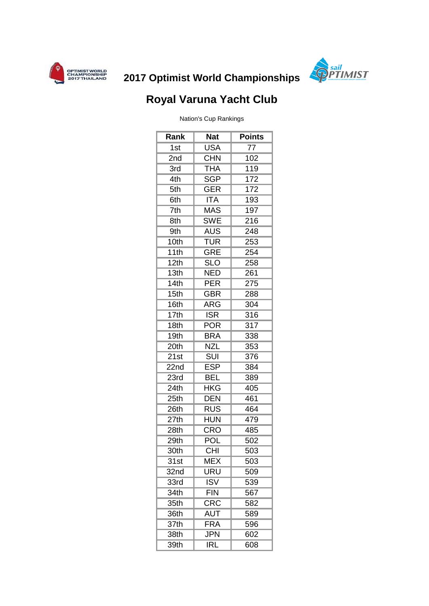



## **2017 Optimist World Championships**

## **Royal Varuna Yacht Club**

Nation's Cup Rankings

| Rank               | <b>Nat</b>                                  | <b>Points</b> |
|--------------------|---------------------------------------------|---------------|
| 1st                | <b>USA</b>                                  | 77            |
| 2nd                | <b>CHN</b>                                  | 102           |
| 3rd                | <b>THA</b>                                  | 119           |
| 4th                | <b>SGP</b>                                  | 172           |
| 5th                | <b>GER</b>                                  | 172           |
| 6th                | <b>ITA</b>                                  | 193           |
| 7th                | <b>MAS</b>                                  | 197           |
| 8th                | <b>SWE</b>                                  | 216           |
| 9th                | <b>AUS</b>                                  | 248           |
| 10th               | <b>TUR</b>                                  | 253           |
| 11th               | <b>GRE</b>                                  | 254           |
| $\overline{12}$ th | <b>SLO</b>                                  | 258           |
| 13th               | <b>NED</b>                                  | 261           |
| 14th               | <b>PER</b>                                  | 275           |
| 15th               | <b>GBR</b>                                  | 288           |
| 16th               | <b>ARG</b>                                  | 304           |
| 17th               | <b>ISR</b>                                  | 316           |
| 18th               | <b>POR</b>                                  | 317           |
| 19 <sub>th</sub>   | <b>BRA</b>                                  | 338           |
| 20th               | <b>NZL</b>                                  | 353           |
| 21st               | SUI                                         | 376           |
| 22nd               | <b>ESP</b>                                  | 384           |
| 23rd               | <b>BEL</b>                                  | 389           |
| 24th               | <b>HKG</b>                                  | 405           |
| 25th               | <b>DEN</b>                                  | 461           |
| 26th               | <b>RUS</b>                                  | 464           |
| 27th               | <b>HUN</b>                                  | 479           |
| 28 <sub>th</sub>   | <b>CRO</b>                                  | 485           |
| 29th               | <b>POL</b>                                  | 502           |
| 30th               | C <sub>H1</sub>                             | 503           |
| 31st               | <b>MEX</b>                                  | 503           |
| 32nd               | URU                                         | 509           |
| 33rd               | <b>ISV</b>                                  | 539           |
| 34th               | <b>FIN</b>                                  | 567           |
| 35th               | CRC                                         | 582           |
| 36th               | <b>AUT</b>                                  | 589           |
| 37th               | $\overline{\mathsf{F}}\mathsf{R}\mathsf{A}$ | 596           |
| 38th               | <b>JPN</b>                                  | 602           |
| 39th               | IRL                                         | 608           |